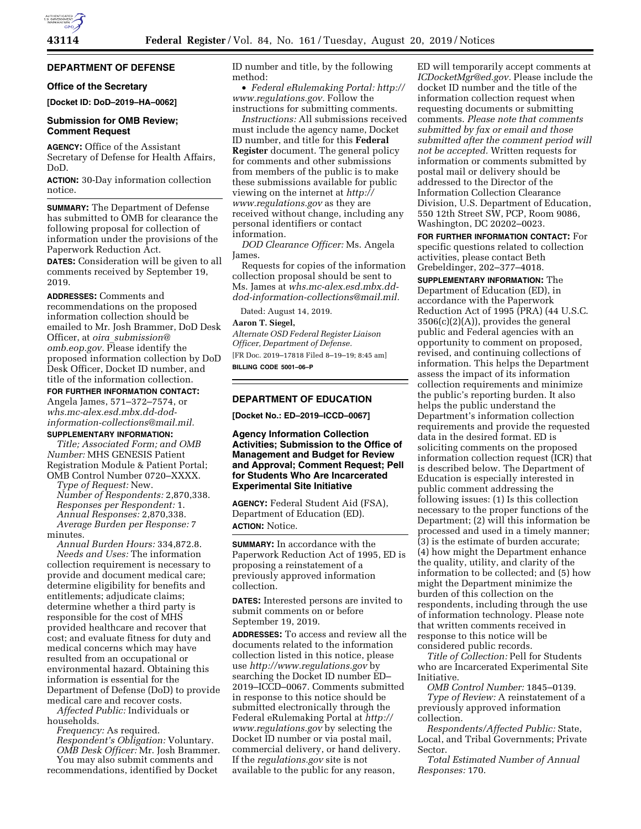

# **DEPARTMENT OF DEFENSE**

### **Office of the Secretary**

**[Docket ID: DoD–2019–HA–0062]** 

### **Submission for OMB Review; Comment Request**

**AGENCY:** Office of the Assistant Secretary of Defense for Health Affairs, DoD.

**ACTION:** 30-Day information collection notice.

**SUMMARY:** The Department of Defense has submitted to OMB for clearance the following proposal for collection of information under the provisions of the Paperwork Reduction Act. **DATES:** Consideration will be given to all comments received by September 19, 2019.

**ADDRESSES:** Comments and recommendations on the proposed information collection should be emailed to Mr. Josh Brammer, DoD Desk Officer, at *oira*\_*submission@ omb.eop.gov.* Please identify the proposed information collection by DoD Desk Officer, Docket ID number, and title of the information collection.

#### **FOR FURTHER INFORMATION CONTACT:**

Angela James, 571–372–7574, or *whs.mc-alex.esd.mbx.dd-dodinformation-collections@mail.mil.*  **SUPPLEMENTARY INFORMATION:** 

*Title; Associated Form; and OMB Number:* MHS GENESIS Patient Registration Module & Patient Portal; OMB Control Number 0720–XXXX.

*Type of Request:* New.

*Number of Respondents:* 2,870,338. *Responses per Respondent:* 1. *Annual Responses:* 2,870,338. *Average Burden per Response:* 7 minutes.

*Annual Burden Hours:* 334,872.8. *Needs and Uses:* The information collection requirement is necessary to provide and document medical care; determine eligibility for benefits and entitlements; adjudicate claims; determine whether a third party is responsible for the cost of MHS provided healthcare and recover that cost; and evaluate fitness for duty and medical concerns which may have resulted from an occupational or environmental hazard. Obtaining this information is essential for the Department of Defense (DoD) to provide medical care and recover costs.

*Affected Public:* Individuals or households.

*Frequency:* As required. *Respondent's Obligation:* Voluntary. *OMB Desk Officer:* Mr. Josh Brammer. You may also submit comments and recommendations, identified by Docket

ID number and title, by the following method:

• *Federal eRulemaking Portal: http:// www.regulations.gov.* Follow the instructions for submitting comments.

*Instructions:* All submissions received must include the agency name, Docket ID number, and title for this **Federal Register** document. The general policy for comments and other submissions from members of the public is to make these submissions available for public viewing on the internet at *http:// www.regulations.gov* as they are received without change, including any personal identifiers or contact information.

*DOD Clearance Officer:* Ms. Angela James.

Requests for copies of the information collection proposal should be sent to Ms. James at *whs.mc-alex.esd.mbx.dddod-information-collections@mail.mil.* 

Dated: August 14, 2019.

#### **Aaron T. Siegel,**

*Alternate OSD Federal Register Liaison Officer, Department of Defense.*  [FR Doc. 2019–17818 Filed 8–19–19; 8:45 am] **BILLING CODE 5001–06–P** 

## **DEPARTMENT OF EDUCATION**

**[Docket No.: ED–2019–ICCD–0067]** 

### **Agency Information Collection Activities; Submission to the Office of Management and Budget for Review and Approval; Comment Request; Pell for Students Who Are Incarcerated Experimental Site Initiative**

**AGENCY:** Federal Student Aid (FSA), Department of Education (ED). **ACTION:** Notice.

**SUMMARY:** In accordance with the Paperwork Reduction Act of 1995, ED is proposing a reinstatement of a previously approved information collection.

**DATES:** Interested persons are invited to submit comments on or before September 19, 2019.

**ADDRESSES:** To access and review all the documents related to the information collection listed in this notice, please use *http://www.regulations.gov* by searching the Docket ID number ED– 2019–ICCD–0067. Comments submitted in response to this notice should be submitted electronically through the Federal eRulemaking Portal at *http:// www.regulations.gov* by selecting the Docket ID number or via postal mail, commercial delivery, or hand delivery. If the *regulations.gov* site is not available to the public for any reason,

ED will temporarily accept comments at *ICDocketMgr@ed.gov.* Please include the docket ID number and the title of the information collection request when requesting documents or submitting comments. *Please note that comments submitted by fax or email and those submitted after the comment period will not be accepted.* Written requests for information or comments submitted by postal mail or delivery should be addressed to the Director of the Information Collection Clearance Division, U.S. Department of Education, 550 12th Street SW, PCP, Room 9086, Washington, DC 20202–0023.

**FOR FURTHER INFORMATION CONTACT:** For specific questions related to collection activities, please contact Beth Grebeldinger, 202–377–4018.

**SUPPLEMENTARY INFORMATION:** The Department of Education (ED), in accordance with the Paperwork Reduction Act of 1995 (PRA) (44 U.S.C.  $3506(c)(2)(A)$ , provides the general public and Federal agencies with an opportunity to comment on proposed, revised, and continuing collections of information. This helps the Department assess the impact of its information collection requirements and minimize the public's reporting burden. It also helps the public understand the Department's information collection requirements and provide the requested data in the desired format. ED is soliciting comments on the proposed information collection request (ICR) that is described below. The Department of Education is especially interested in public comment addressing the following issues: (1) Is this collection necessary to the proper functions of the Department; (2) will this information be processed and used in a timely manner; (3) is the estimate of burden accurate; (4) how might the Department enhance the quality, utility, and clarity of the information to be collected; and (5) how might the Department minimize the burden of this collection on the respondents, including through the use of information technology. Please note that written comments received in response to this notice will be considered public records.

*Title of Collection:* Pell for Students who are Incarcerated Experimental Site Initiative.

*OMB Control Number:* 1845–0139.

*Type of Review:* A reinstatement of a previously approved information collection.

*Respondents/Affected Public:* State, Local, and Tribal Governments; Private Sector.

*Total Estimated Number of Annual Responses:* 170.